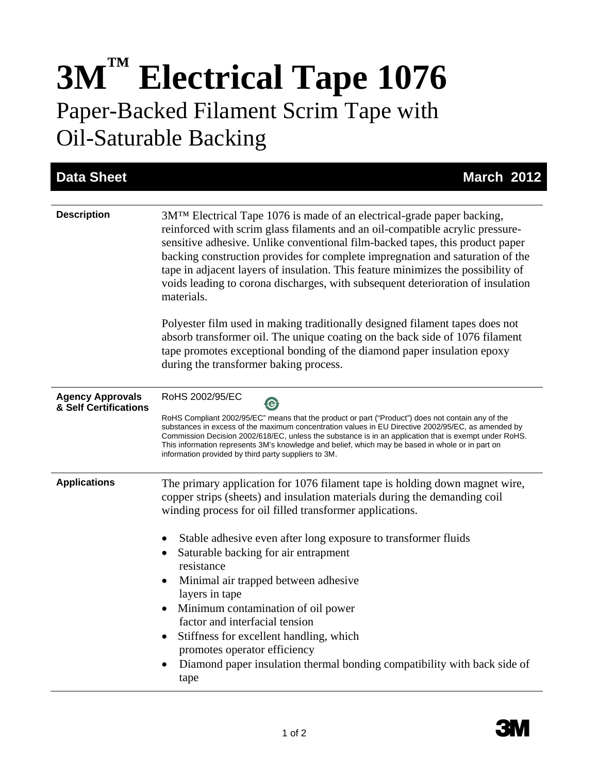## **3M™ Electrical Tape 1076**  Paper-Backed Filament Scrim Tape with Oil-Saturable Backing

| <b>Data Sheet</b>                                | <b>March 2012</b>                                                                                                                                                                                                                                                                                                                                                                                                                                                                                                                                                                                                                                               |
|--------------------------------------------------|-----------------------------------------------------------------------------------------------------------------------------------------------------------------------------------------------------------------------------------------------------------------------------------------------------------------------------------------------------------------------------------------------------------------------------------------------------------------------------------------------------------------------------------------------------------------------------------------------------------------------------------------------------------------|
| <b>Description</b>                               | 3M <sup>TM</sup> Electrical Tape 1076 is made of an electrical-grade paper backing,<br>reinforced with scrim glass filaments and an oil-compatible acrylic pressure-<br>sensitive adhesive. Unlike conventional film-backed tapes, this product paper<br>backing construction provides for complete impregnation and saturation of the<br>tape in adjacent layers of insulation. This feature minimizes the possibility of<br>voids leading to corona discharges, with subsequent deterioration of insulation<br>materials.                                                                                                                                     |
|                                                  | Polyester film used in making traditionally designed filament tapes does not<br>absorb transformer oil. The unique coating on the back side of 1076 filament<br>tape promotes exceptional bonding of the diamond paper insulation epoxy<br>during the transformer baking process.                                                                                                                                                                                                                                                                                                                                                                               |
| <b>Agency Approvals</b><br>& Self Certifications | RoHS 2002/95/EC<br>RoHS Compliant 2002/95/EC" means that the product or part ("Product") does not contain any of the<br>substances in excess of the maximum concentration values in EU Directive 2002/95/EC, as amended by<br>Commission Decision 2002/618/EC, unless the substance is in an application that is exempt under RoHS.<br>This information represents 3M's knowledge and belief, which may be based in whole or in part on<br>information provided by third party suppliers to 3M.                                                                                                                                                                 |
| <b>Applications</b>                              | The primary application for 1076 filament tape is holding down magnet wire,<br>copper strips (sheets) and insulation materials during the demanding coil<br>winding process for oil filled transformer applications.<br>Stable adhesive even after long exposure to transformer fluids<br>Saturable backing for air entrapment<br>$\bullet$<br>resistance<br>Minimal air trapped between adhesive<br>layers in tape<br>Minimum contamination of oil power<br>factor and interfacial tension<br>Stiffness for excellent handling, which<br>promotes operator efficiency<br>Diamond paper insulation thermal bonding compatibility with back side of<br>٠<br>tape |